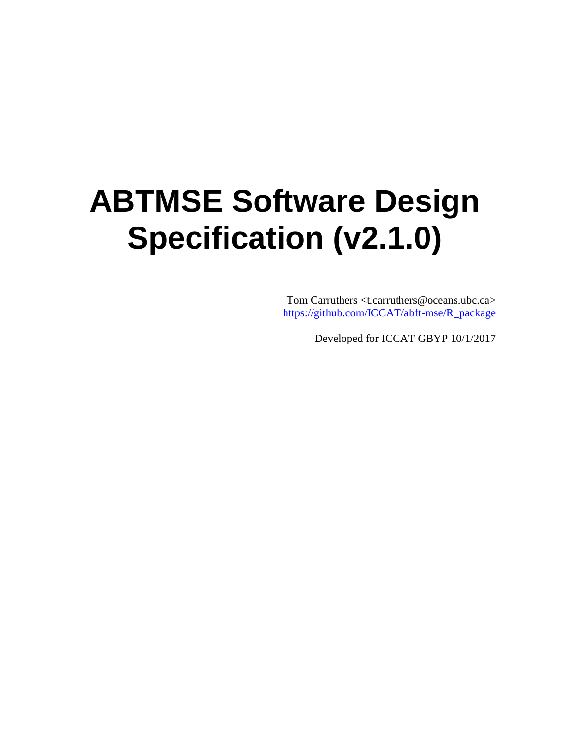# **ABTMSE Software Design Specification (v2.1.0)**

Tom Carruthers <t.carruthers@oceans.ubc.ca> [https://github.com/ICCAT/abft-mse/R\\_package](https://github.com/ICCAT/abft-mse/R_package)

Developed for ICCAT GBYP 10/1/2017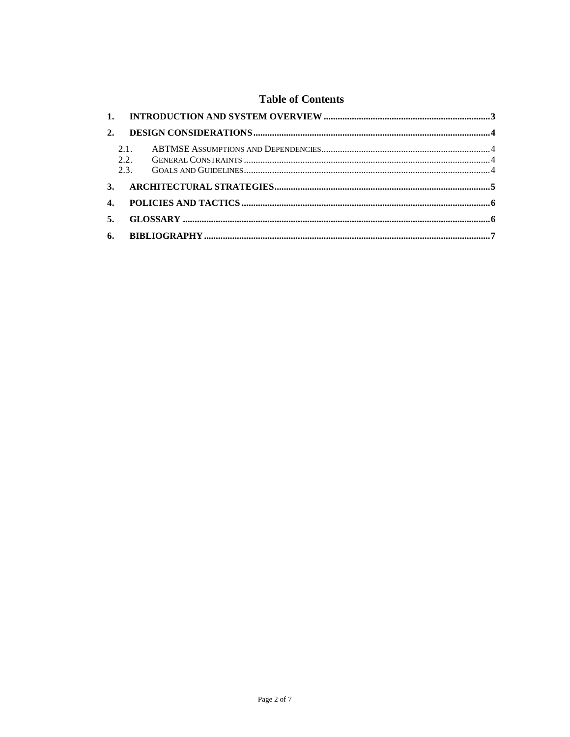#### **Table of Contents**

| 2.           |             |  |
|--------------|-------------|--|
|              | 2.1<br>2.2. |  |
|              |             |  |
| $\mathbf{4}$ |             |  |
| 5.           |             |  |
|              |             |  |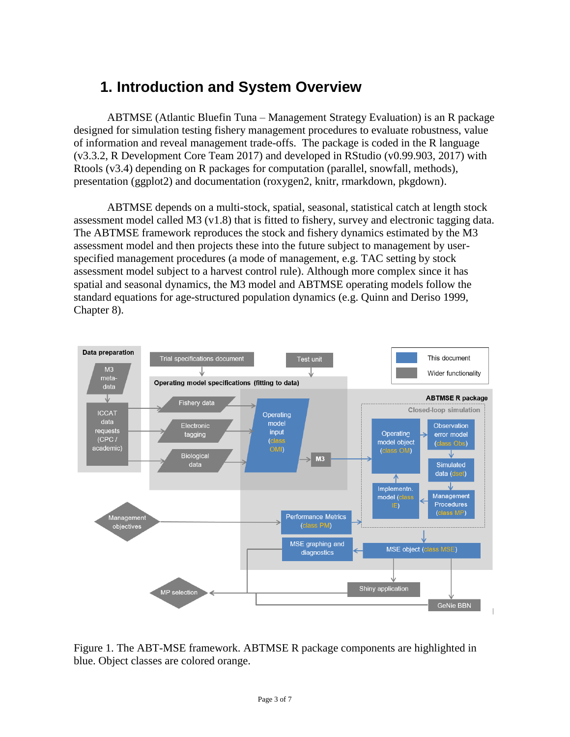## <span id="page-2-0"></span>**1. Introduction and System Overview**

ABTMSE (Atlantic Bluefin Tuna – Management Strategy Evaluation) is an R package designed for simulation testing fishery management procedures to evaluate robustness, value of information and reveal management trade-offs. The package is coded in the R language (v3.3.2, R Development Core Team 2017) and developed in RStudio (v0.99.903, 2017) with Rtools (v3.4) depending on R packages for computation (parallel, snowfall, methods), presentation (ggplot2) and documentation (roxygen2, knitr, rmarkdown, pkgdown).

ABTMSE depends on a multi-stock, spatial, seasonal, statistical catch at length stock assessment model called M3 (v1.8) that is fitted to fishery, survey and electronic tagging data. The ABTMSE framework reproduces the stock and fishery dynamics estimated by the M3 assessment model and then projects these into the future subject to management by userspecified management procedures (a mode of management, e.g. TAC setting by stock assessment model subject to a harvest control rule). Although more complex since it has spatial and seasonal dynamics, the M3 model and ABTMSE operating models follow the standard equations for age-structured population dynamics (e.g. Quinn and Deriso 1999, Chapter 8).



Figure 1. The ABT-MSE framework. ABTMSE R package components are highlighted in blue. Object classes are colored orange.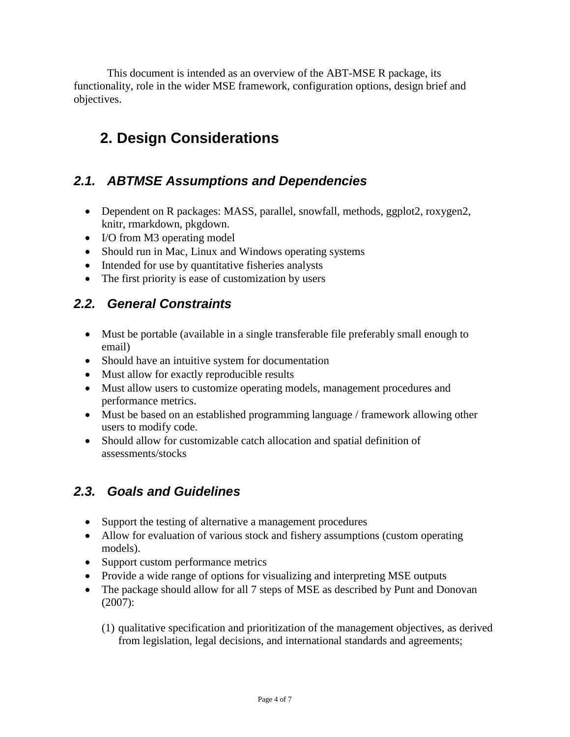This document is intended as an overview of the ABT-MSE R package, its functionality, role in the wider MSE framework, configuration options, design brief and objectives.

## <span id="page-3-0"></span>**2. Design Considerations**

#### <span id="page-3-1"></span>*2.1. ABTMSE Assumptions and Dependencies*

- Dependent on R packages: MASS, parallel, snowfall, methods, ggplot2, roxygen2, knitr, rmarkdown, pkgdown.
- I/O from M3 operating model
- Should run in Mac, Linux and Windows operating systems
- Intended for use by quantitative fisheries analysts
- The first priority is ease of customization by users

#### <span id="page-3-2"></span>*2.2. General Constraints*

- Must be portable (available in a single transferable file preferably small enough to email)
- Should have an intuitive system for documentation
- Must allow for exactly reproducible results
- Must allow users to customize operating models, management procedures and performance metrics.
- Must be based on an established programming language / framework allowing other users to modify code.
- Should allow for customizable catch allocation and spatial definition of assessments/stocks

#### <span id="page-3-3"></span>*2.3. Goals and Guidelines*

- Support the testing of alternative a management procedures
- Allow for evaluation of various stock and fishery assumptions (custom operating models).
- Support custom performance metrics
- Provide a wide range of options for visualizing and interpreting MSE outputs
- The package should allow for all 7 steps of MSE as described by Punt and Donovan (2007):
	- (1) qualitative specification and prioritization of the management objectives, as derived from legislation, legal decisions, and international standards and agreements;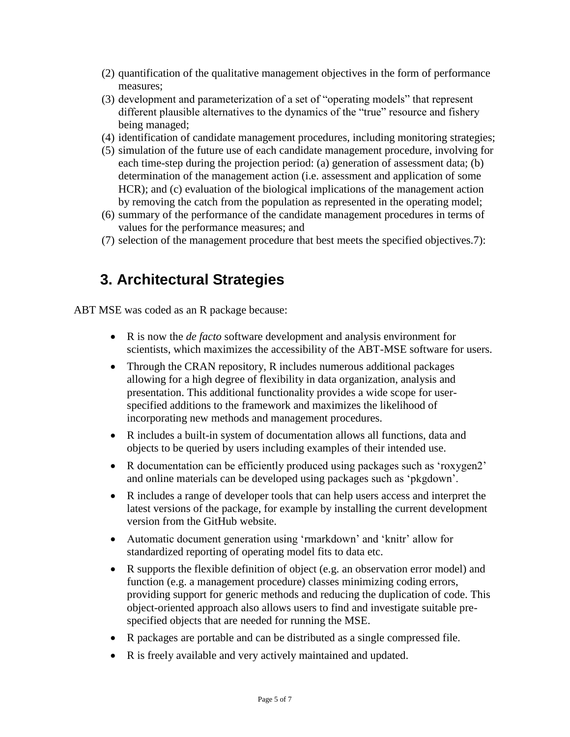- (2) quantification of the qualitative management objectives in the form of performance measures;
- (3) development and parameterization of a set of "operating models" that represent different plausible alternatives to the dynamics of the "true" resource and fishery being managed;
- (4) identification of candidate management procedures, including monitoring strategies;
- (5) simulation of the future use of each candidate management procedure, involving for each time-step during the projection period: (a) generation of assessment data; (b) determination of the management action (i.e. assessment and application of some HCR); and (c) evaluation of the biological implications of the management action by removing the catch from the population as represented in the operating model;
- (6) summary of the performance of the candidate management procedures in terms of values for the performance measures; and
- (7) selection of the management procedure that best meets the specified objectives.7):

### <span id="page-4-0"></span>**3. Architectural Strategies**

ABT MSE was coded as an R package because:

- R is now the *de facto* software development and analysis environment for scientists, which maximizes the accessibility of the ABT-MSE software for users.
- Through the CRAN repository, R includes numerous additional packages allowing for a high degree of flexibility in data organization, analysis and presentation. This additional functionality provides a wide scope for userspecified additions to the framework and maximizes the likelihood of incorporating new methods and management procedures.
- R includes a built-in system of documentation allows all functions, data and objects to be queried by users including examples of their intended use.
- R documentation can be efficiently produced using packages such as 'roxygen2' and online materials can be developed using packages such as 'pkgdown'.
- R includes a range of developer tools that can help users access and interpret the latest versions of the package, for example by installing the current development version from the GitHub website.
- Automatic document generation using 'rmarkdown' and 'knitr' allow for standardized reporting of operating model fits to data etc.
- R supports the flexible definition of object (e.g. an observation error model) and function (e.g. a management procedure) classes minimizing coding errors, providing support for generic methods and reducing the duplication of code. This object-oriented approach also allows users to find and investigate suitable prespecified objects that are needed for running the MSE.
- R packages are portable and can be distributed as a single compressed file.
- R is freely available and very actively maintained and updated.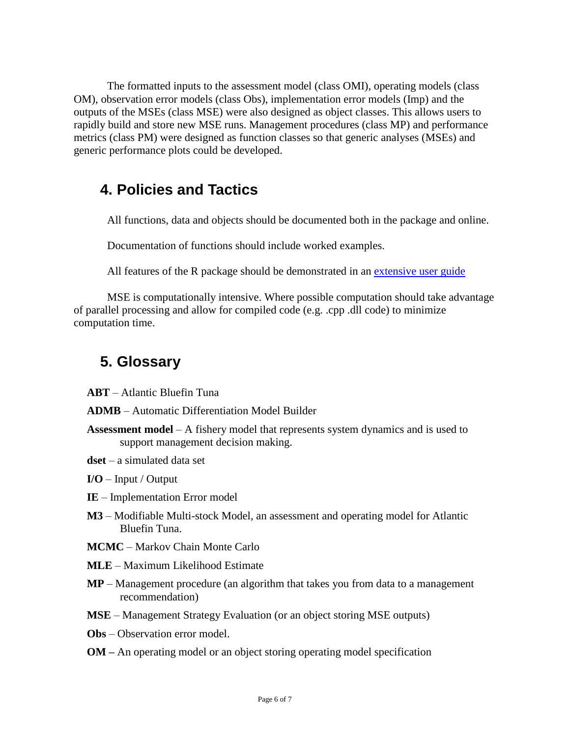The formatted inputs to the assessment model (class OMI), operating models (class OM), observation error models (class Obs), implementation error models (Imp) and the outputs of the MSEs (class MSE) were also designed as object classes. This allows users to rapidly build and store new MSE runs. Management procedures (class MP) and performance metrics (class PM) were designed as function classes so that generic analyses (MSEs) and generic performance plots could be developed.

#### <span id="page-5-0"></span>**4. Policies and Tactics**

All functions, data and objects should be documented both in the package and online.

Documentation of functions should include worked examples.

All features of the R package should be demonstrated in an [extensive user guide](https://drive.google.com/open?id=0B0HYOP0BN5RPV1BXOGk0cEwyTGM)

MSE is computationally intensive. Where possible computation should take advantage of parallel processing and allow for compiled code (e.g. .cpp .dll code) to minimize computation time.

#### <span id="page-5-1"></span>**5. Glossary**

**ABT** – Atlantic Bluefin Tuna

**ADMB** – Automatic Differentiation Model Builder

- **Assessment model** A fishery model that represents system dynamics and is used to support management decision making.
- **dset**  a simulated data set
- **I/O**  Input / Output
- **IE**  Implementation Error model
- **M3** Modifiable Multi-stock Model, an assessment and operating model for Atlantic Bluefin Tuna.
- **MCMC**  Markov Chain Monte Carlo
- **MLE**  Maximum Likelihood Estimate
- **MP** Management procedure (an algorithm that takes you from data to a management recommendation)
- **MSE** Management Strategy Evaluation (or an object storing MSE outputs)
- **Obs**  Observation error model.
- **OM –** An operating model or an object storing operating model specification